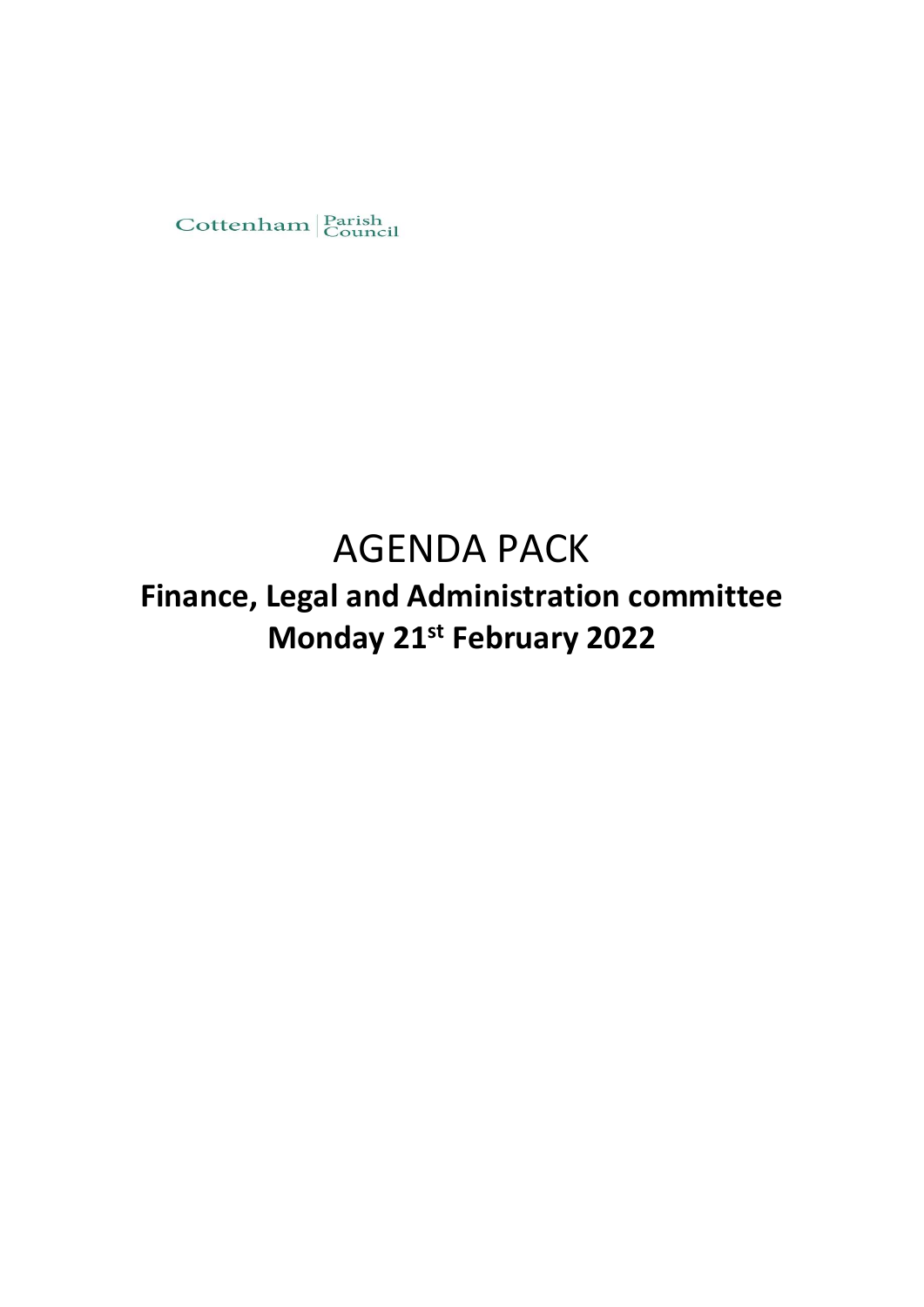

# AGENDA PACK

## **Finance, Legal and Administration committee Monday 21st February 2022**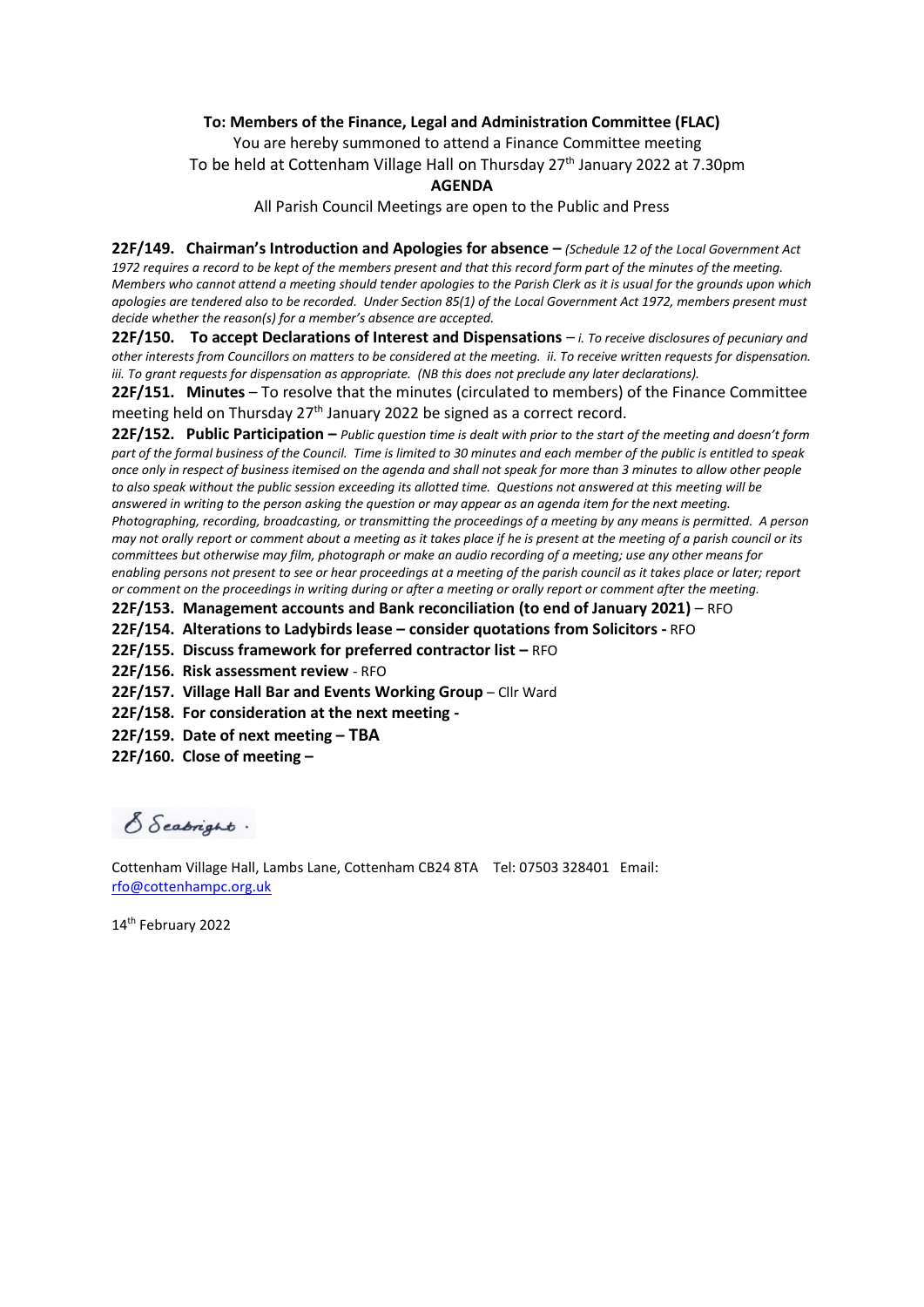#### **To: Members of the Finance, Legal and Administration Committee (FLAC)**

You are hereby summoned to attend a Finance Committee meeting To be held at Cottenham Village Hall on Thursday 27<sup>th</sup> January 2022 at 7.30pm

#### **AGENDA**

All Parish Council Meetings are open to the Public and Press

**22F/149. Chairman's Introduction and Apologies for absence –** *(Schedule 12 of the Local Government Act 1972 requires a record to be kept of the members present and that this record form part of the minutes of the meeting. Members who cannot attend a meeting should tender apologies to the Parish Clerk as it is usual for the grounds upon which apologies are tendered also to be recorded. Under Section 85(1) of the Local Government Act 1972, members present must decide whether the reason(s) for a member's absence are accepted.*

**22F/150. To accept Declarations of Interest and Dispensations** – *i. To receive disclosures of pecuniary and other interests from Councillors on matters to be considered at the meeting. ii. To receive written requests for dispensation. iii. To grant requests for dispensation as appropriate. (NB this does not preclude any later declarations).*

**22F/151. Minutes** – To resolve that the minutes (circulated to members) of the Finance Committee meeting held on Thursday  $27<sup>th</sup>$  January 2022 be signed as a correct record.

**22F/152. Public Participation –** *Public question time is dealt with prior to the start of the meeting and doesn't form part of the formal business of the Council. Time is limited to 30 minutes and each member of the public is entitled to speak once only in respect of business itemised on the agenda and shall not speak for more than 3 minutes to allow other people to also speak without the public session exceeding its allotted time. Questions not answered at this meeting will be answered in writing to the person asking the question or may appear as an agenda item for the next meeting. Photographing, recording, broadcasting, or transmitting the proceedings of a meeting by any means is permitted. A person may not orally report or comment about a meeting as it takes place if he is present at the meeting of a parish council or its committees but otherwise may film, photograph or make an audio recording of a meeting; use any other means for enabling persons not present to see or hear proceedings at a meeting of the parish council as it takes place or later; report or comment on the proceedings in writing during or after a meeting or orally report or comment after the meeting.* 

**22F/153. Management accounts and Bank reconciliation (to end of January 2021)** – RFO

**22F/154. Alterations to Ladybirds lease – consider quotations from Solicitors -** RFO

**22F/155. Discuss framework for preferred contractor list - RFO** 

**22F/156. Risk assessment review** - RFO

**22F/157. Village Hall Bar and Events Working Group** – Cllr Ward

**22F/158. For consideration at the next meeting -**

**22F/159. Date of next meeting – TBA**

**22F/160. Close of meeting –**

S Seabright.

Cottenham Village Hall, Lambs Lane, Cottenham CB24 8TA Tel: 07503 328401 Email: [rfo@cottenhampc.org.uk](mailto:rfo@cottenhampc.org.uk)

14th February 2022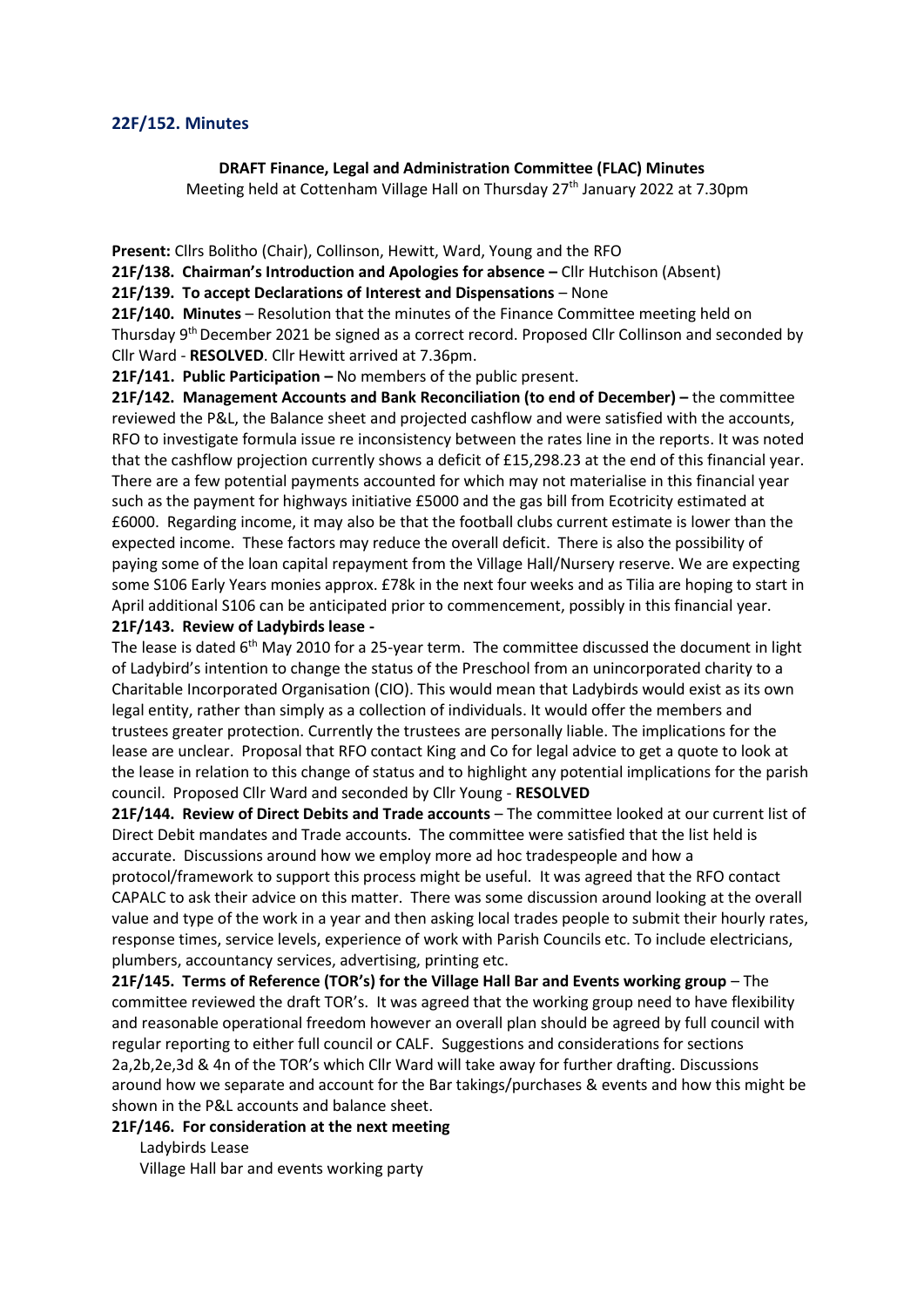#### **22F/152. Minutes**

#### **DRAFT Finance, Legal and Administration Committee (FLAC) Minutes**

Meeting held at Cottenham Village Hall on Thursday 27<sup>th</sup> January 2022 at 7.30pm

**Present:** Cllrs Bolitho (Chair), Collinson, Hewitt, Ward, Young and the RFO

**21F/138. Chairman's Introduction and Apologies for absence –** Cllr Hutchison (Absent)

**21F/139. To accept Declarations of Interest and Dispensations** – None

**21F/140. Minutes** – Resolution that the minutes of the Finance Committee meeting held on Thursday 9th December 2021 be signed as a correct record. Proposed Cllr Collinson and seconded by Cllr Ward - **RESOLVED**. Cllr Hewitt arrived at 7.36pm.

 **21F/141. Public Participation –** No members of the public present.

**21F/142. Management Accounts and Bank Reconciliation (to end of December) –** the committee reviewed the P&L, the Balance sheet and projected cashflow and were satisfied with the accounts, RFO to investigate formula issue re inconsistency between the rates line in the reports. It was noted that the cashflow projection currently shows a deficit of £15,298.23 at the end of this financial year. There are a few potential payments accounted for which may not materialise in this financial year such as the payment for highways initiative £5000 and the gas bill from Ecotricity estimated at £6000. Regarding income, it may also be that the football clubs current estimate is lower than the expected income. These factors may reduce the overall deficit. There is also the possibility of paying some of the loan capital repayment from the Village Hall/Nursery reserve. We are expecting some S106 Early Years monies approx. £78k in the next four weeks and as Tilia are hoping to start in April additional S106 can be anticipated prior to commencement, possibly in this financial year. **21F/143. Review of Ladybirds lease -**

The lease is dated  $6<sup>th</sup>$  May 2010 for a 25-year term. The committee discussed the document in light of Ladybird's intention to change the status of the Preschool from an unincorporated charity to a Charitable Incorporated Organisation (CIO). This would mean that Ladybirds would exist as its own legal entity, rather than simply as a collection of individuals. It would offer the members and trustees greater protection. Currently the trustees are personally liable. The implications for the lease are unclear. Proposal that RFO contact King and Co for legal advice to get a quote to look at the lease in relation to this change of status and to highlight any potential implications for the parish council. Proposed Cllr Ward and seconded by Cllr Young - **RESOLVED**

**21F/144. Review of Direct Debits and Trade accounts** – The committee looked at our current list of Direct Debit mandates and Trade accounts. The committee were satisfied that the list held is accurate. Discussions around how we employ more ad hoc tradespeople and how a protocol/framework to support this process might be useful. It was agreed that the RFO contact CAPALC to ask their advice on this matter. There was some discussion around looking at the overall value and type of the work in a year and then asking local trades people to submit their hourly rates, response times, service levels, experience of work with Parish Councils etc. To include electricians, plumbers, accountancy services, advertising, printing etc.

**21F/145. Terms of Reference (TOR's) for the Village Hall Bar and Events working group** – The committee reviewed the draft TOR's. It was agreed that the working group need to have flexibility and reasonable operational freedom however an overall plan should be agreed by full council with regular reporting to either full council or CALF. Suggestions and considerations for sections 2a,2b,2e,3d & 4n of the TOR's which Cllr Ward will take away for further drafting. Discussions around how we separate and account for the Bar takings/purchases & events and how this might be shown in the P&L accounts and balance sheet.

**21F/146. For consideration at the next meeting** 

Ladybirds Lease

Village Hall bar and events working party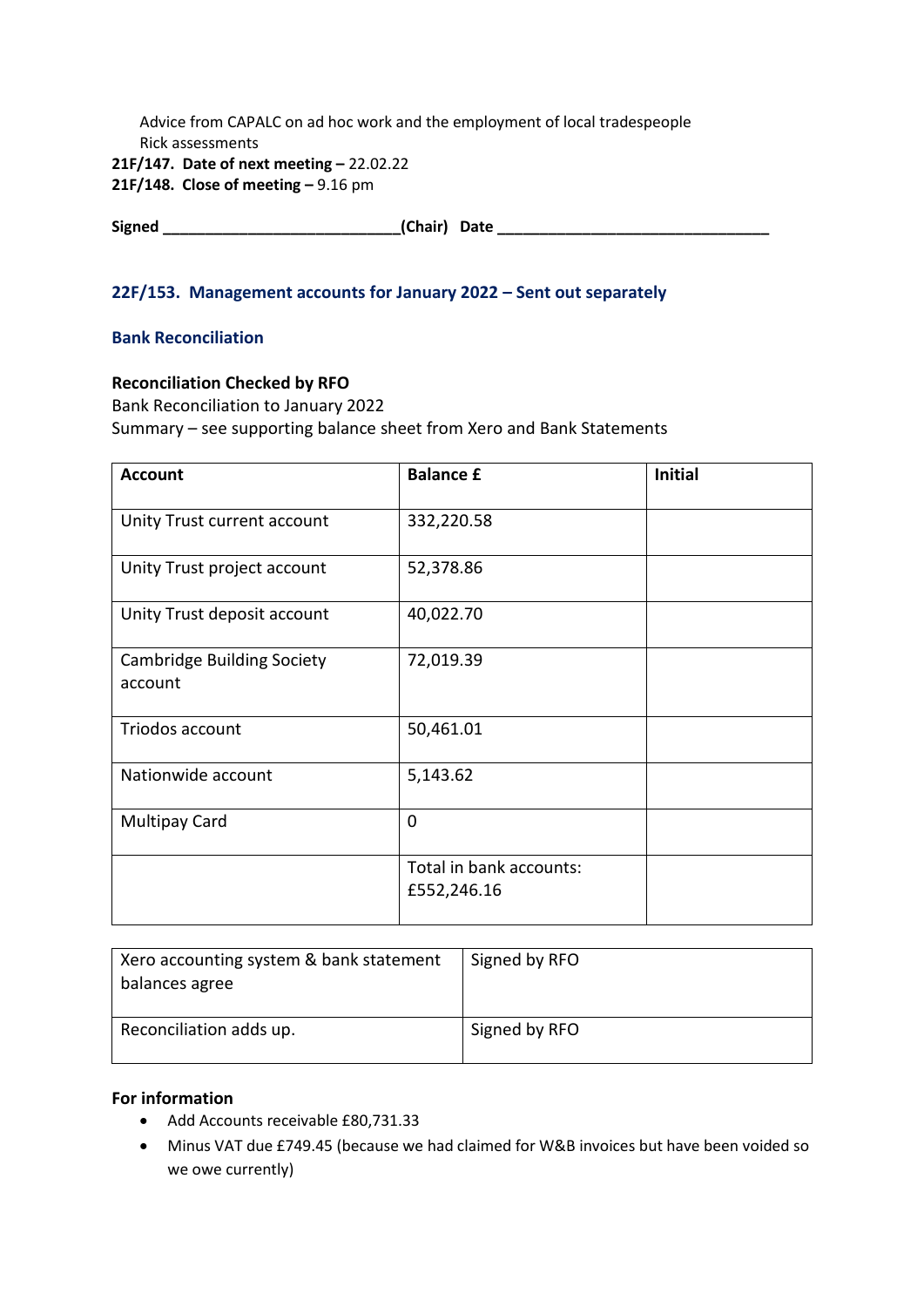Advice from CAPALC on ad hoc work and the employment of local tradespeople Rick assessments **21F/147. Date of next meeting –** 22.02.22

**21F/148. Close of meeting –** 9.16 pm

**Signed \_\_\_\_\_\_\_\_\_\_\_\_\_\_\_\_\_\_\_\_\_\_\_\_\_\_\_\_(Chair) Date \_\_\_\_\_\_\_\_\_\_\_\_\_\_\_\_\_\_\_\_\_\_\_\_\_\_\_\_\_\_\_\_**

## **22F/153. Management accounts for January 2022 – Sent out separately**

## **Bank Reconciliation**

### **Reconciliation Checked by RFO**

Bank Reconciliation to January 2022 Summary – see supporting balance sheet from Xero and Bank Statements

| <b>Account</b>                               | <b>Balance £</b>                       | <b>Initial</b> |
|----------------------------------------------|----------------------------------------|----------------|
| Unity Trust current account                  | 332,220.58                             |                |
| Unity Trust project account                  | 52,378.86                              |                |
| Unity Trust deposit account                  | 40,022.70                              |                |
| <b>Cambridge Building Society</b><br>account | 72,019.39                              |                |
| Triodos account                              | 50,461.01                              |                |
| Nationwide account                           | 5,143.62                               |                |
| <b>Multipay Card</b>                         | $\mathbf 0$                            |                |
|                                              | Total in bank accounts:<br>£552,246.16 |                |

| Xero accounting system & bank statement<br>balances agree | Signed by RFO |
|-----------------------------------------------------------|---------------|
| Reconciliation adds up.                                   | Signed by RFO |

## **For information**

- Add Accounts receivable £80,731.33
- Minus VAT due £749.45 (because we had claimed for W&B invoices but have been voided so we owe currently)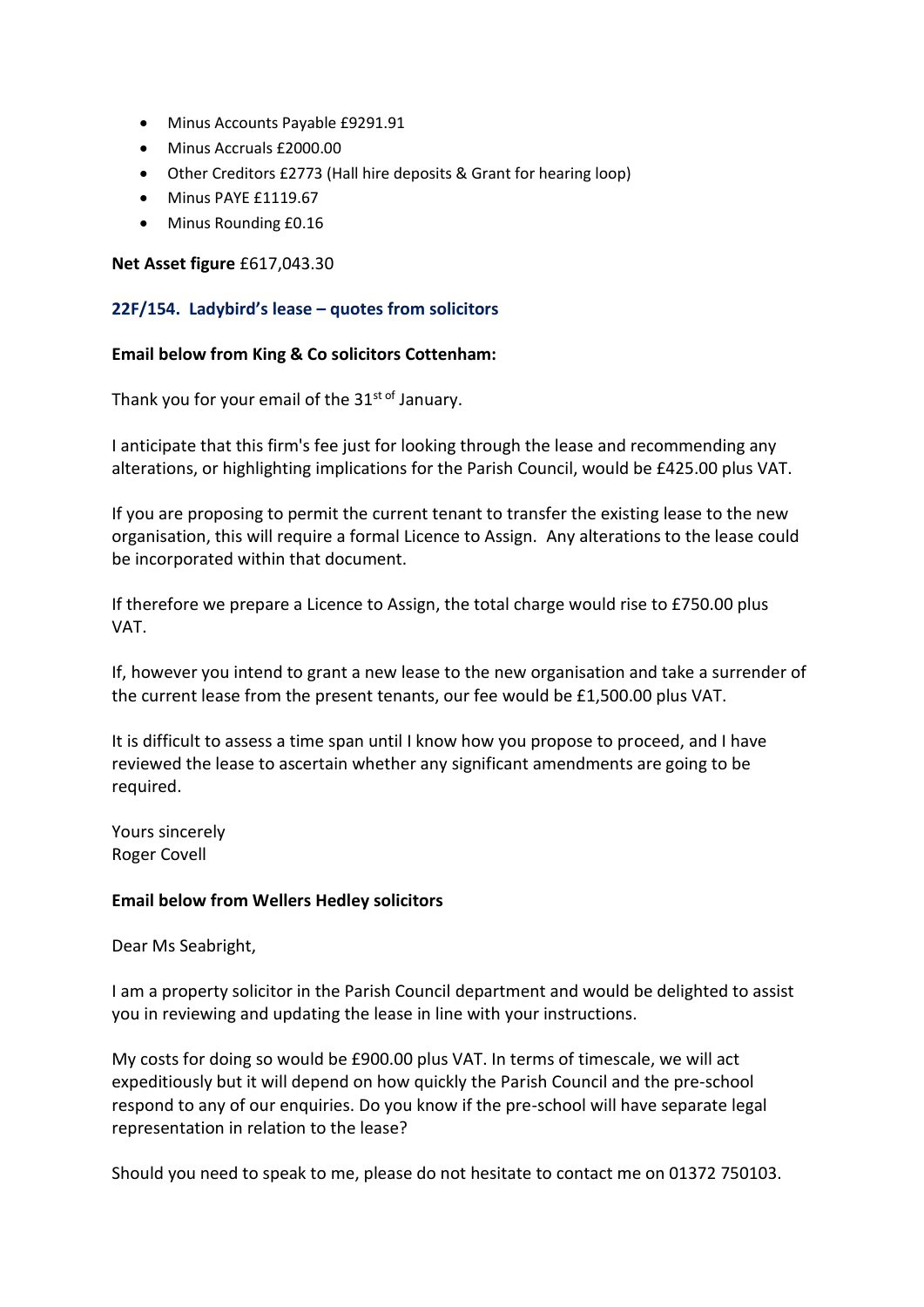- Minus Accounts Payable £9291.91
- Minus Accruals £2000.00
- Other Creditors £2773 (Hall hire deposits & Grant for hearing loop)
- Minus PAYE £1119.67
- Minus Rounding £0.16

## **Net Asset figure** £617,043.30

## **22F/154. Ladybird's lease – quotes from solicitors**

### **Email below from King & Co solicitors Cottenham:**

Thank you for your email of the  $31^{st}$  of January.

I anticipate that this firm's fee just for looking through the lease and recommending any alterations, or highlighting implications for the Parish Council, would be £425.00 plus VAT.

If you are proposing to permit the current tenant to transfer the existing lease to the new organisation, this will require a formal Licence to Assign. Any alterations to the lease could be incorporated within that document.

If therefore we prepare a Licence to Assign, the total charge would rise to £750.00 plus VAT.

If, however you intend to grant a new lease to the new organisation and take a surrender of the current lease from the present tenants, our fee would be £1,500.00 plus VAT.

It is difficult to assess a time span until I know how you propose to proceed, and I have reviewed the lease to ascertain whether any significant amendments are going to be required.

Yours sincerely Roger Covell

### **Email below from Wellers Hedley solicitors**

Dear Ms Seabright,

I am a property solicitor in the Parish Council department and would be delighted to assist you in reviewing and updating the lease in line with your instructions.

My costs for doing so would be £900.00 plus VAT. In terms of timescale, we will act expeditiously but it will depend on how quickly the Parish Council and the pre-school respond to any of our enquiries. Do you know if the pre-school will have separate legal representation in relation to the lease?

Should you need to speak to me, please do not hesitate to contact me on 01372 750103.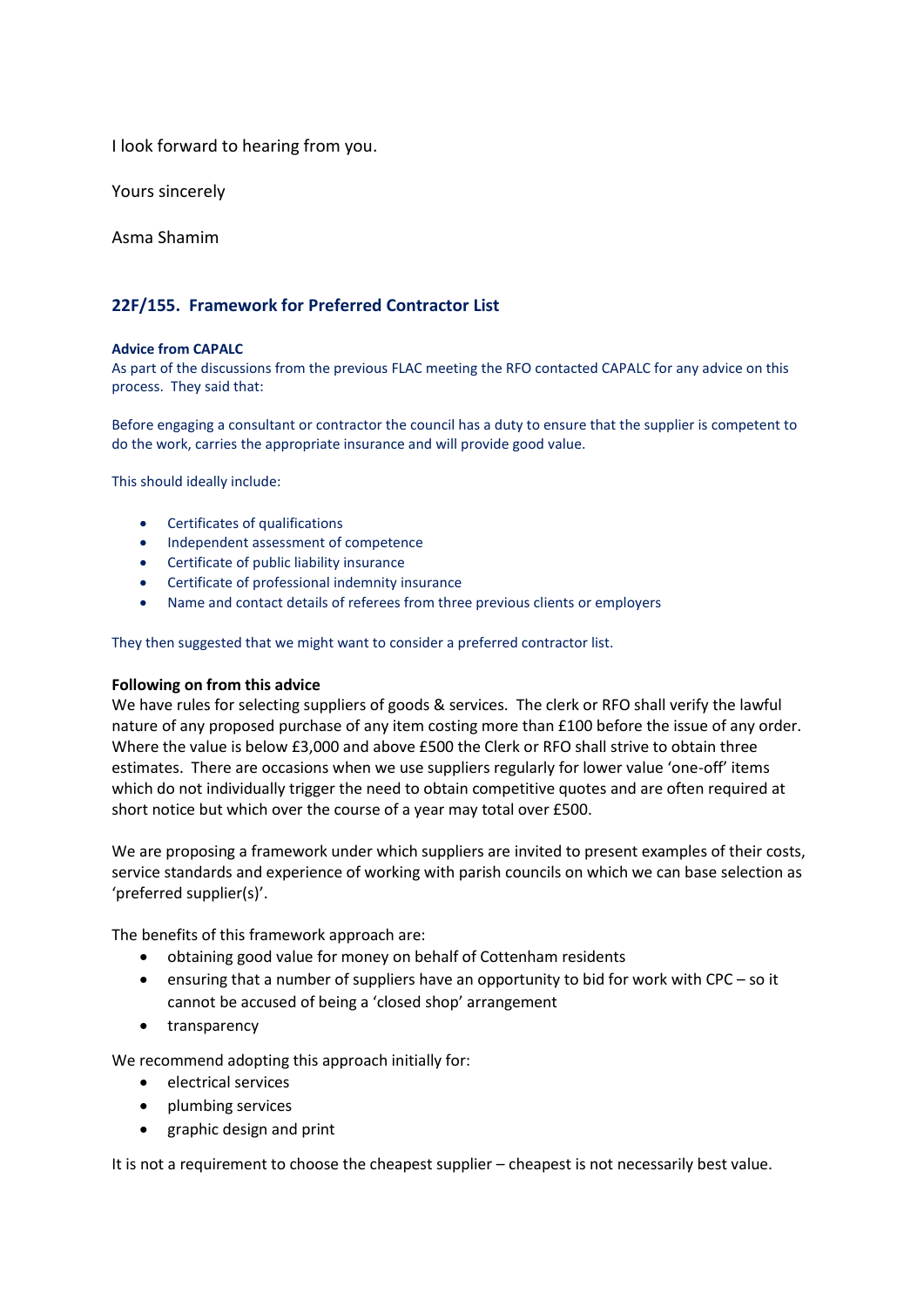I look forward to hearing from you.

Yours sincerely

Asma Shamim

#### **22F/155. Framework for Preferred Contractor List**

#### **Advice from CAPALC**

As part of the discussions from the previous FLAC meeting the RFO contacted CAPALC for any advice on this process. They said that:

Before engaging a consultant or contractor the council has a duty to ensure that the supplier is competent to do the work, carries the appropriate insurance and will provide good value.

This should ideally include:

- Certificates of qualifications
- Independent assessment of competence
- Certificate of public liability insurance
- Certificate of professional indemnity insurance
- Name and contact details of referees from three previous clients or employers

They then suggested that we might want to consider a preferred contractor list.

#### **Following on from this advice**

We have rules for selecting suppliers of goods & services. The clerk or RFO shall verify the lawful nature of any proposed purchase of any item costing more than £100 before the issue of any order. Where the value is below £3,000 and above £500 the Clerk or RFO shall strive to obtain three estimates. There are occasions when we use suppliers regularly for lower value 'one-off' items which do not individually trigger the need to obtain competitive quotes and are often required at short notice but which over the course of a year may total over £500.

We are proposing a framework under which suppliers are invited to present examples of their costs, service standards and experience of working with parish councils on which we can base selection as 'preferred supplier(s)'.

The benefits of this framework approach are:

- obtaining good value for money on behalf of Cottenham residents
- ensuring that a number of suppliers have an opportunity to bid for work with CPC so it cannot be accused of being a 'closed shop' arrangement
- transparency

We recommend adopting this approach initially for:

- electrical services
- plumbing services
- graphic design and print

It is not a requirement to choose the cheapest supplier – cheapest is not necessarily best value.